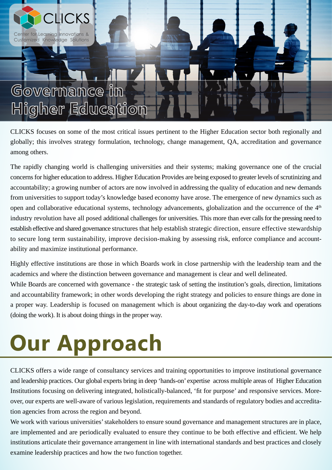

## **Governance in Higher Education**

CLICKS focuses on some of the most critical issues pertinent to the Higher Education sector both regionally and globally; this involves strategy formulation, technology, change management, QA, accreditation and governance among others.

The rapidly changing world is challenging universities and their systems; making governance one of the crucial concerns for higher education to address. Higher Education Provides are being exposed to greater levels of scrutinizing and accountability; a growing number of actors are now involved in addressing the quality of education and new demands from universities to support today's knowledge based economy have arose. The emergence of new dynamics such as open and collaborative educational systems, technology advancements, globalization and the occurrence of the  $4<sup>th</sup>$ industry revolution have all posed additional challenges for universities. This more than ever calls for the pressing need to establish effective and shared governance structures that help establish strategic direction, ensure effective stewardship to secure long term sustainability, improve decision-making by assessing risk, enforce compliance and accountability and maximize institutional performance.

Highly effective institutions are those in which Boards work in close partnership with the leadership team and the academics and where the distinction between governance and management is clear and well delineated. While Boards are concerned with governance - the strategic task of setting the institution's goals, direction, limitations and accountability framework; in other words developing the right strategy and policies to ensure things are done in a proper way. Leadership is focused on management which is about organizing the day-to-day work and operations (doing the work). It is about doing things in the proper way.

## **Our Approach**

CLICKS offers a wide range of consultancy services and training opportunities to improve institutional governance and leadership practices. Our global experts bring in deep 'hands-on' expertise across multiple areas of Higher Education Institutions focusing on delivering integrated, holistically-balanced, 'fit for purpose' and responsive services. Moreover, our experts are well-aware of various legislation, requirements and standards of regulatory bodies and accreditation agencies from across the region and beyond.

We work with various universities' stakeholders to ensure sound governance and management structures are in place, are implemented and are periodically evaluated to ensure they continue to be both effective and efficient. We help institutions articulate their governance arrangement in line with international standards and best practices and closely examine leadership practices and how the two function together.